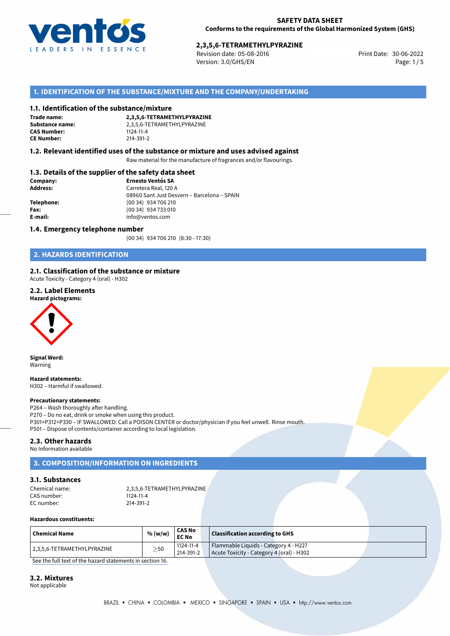

Revision date: 05-08-2016 Version: 3.0/GHS/EN Page: 1/5

# **1. IDENTIFICATION OF THE SUBSTANCE/MIXTURE AND THE COMPANY/UNDERTAKING**

#### **1.1. Identification of the substance/mixture**

**Trade name: CAS Number: CE Number:** 214-391-2

**2,3,5,6-TETRAMETHYLPYRAZINE Substance name:** 2,3,5,6-TETRAMETHYLPYRAZINE<br>**CAS Number:** 1124-11-4

#### **1.2. Relevant identified uses of the substance or mixture and uses advised against**

Raw material for the manufacture of fragrances and/or flavourings.

### **1.3. Details of the supplier of the safety data sheet**

| Company:        | <b>Ernesto Ventós SA</b>                    |
|-----------------|---------------------------------------------|
| <b>Address:</b> | Carretera Real, 120 A                       |
|                 | 08960 Sant Just Desvern - Barcelona - SPAIN |
| Telephone:      | (00 34) 934 706 210                         |
| Fax:            | (00 34) 934 733 010                         |
| E-mail:         | info@ventos.com                             |
|                 |                                             |

#### **1.4. Emergency telephone number**

(00 34) 934 706 210 (8:30 - 17:30)

# **2. HAZARDS IDENTIFICATION**

### **2.1. Classification of the substance or mixture**

Acute Toxicity - Category 4 (oral) - H302

# **2.2. Label Elements**



**Signal Word:** Warning

**Hazard statements:** H302 – Harmful if swallowed.

#### **Precautionary statements:**

P264 – Wash thoroughly after handling. P270 – Do no eat, drink or smoke when using this product. P301+P312+P330 – IF SWALLOWED: Call a POISON CENTER or doctor/physician if you feel unwell. Rinse mouth. P501 – Dispose of contents/container according to local legislation.

# **2.3. Other hazards**

No Information available

# **3. COMPOSITION/INFORMATION ON INGREDIENTS**

# **3.1. Substances**

| Chemical name: | 2,3,5,6-TETRAMETHYLPYRAZINE |
|----------------|-----------------------------|
| CAS number:    | 1124-11-4                   |
| EC number:     | 214-391-2                   |

#### **Hazardous constituents:**

| Chemical Name               | % (w/w)   | <b>CAS No</b><br><b>EC No</b> | <b>Classification according to GHS</b>                                             |  |
|-----------------------------|-----------|-------------------------------|------------------------------------------------------------------------------------|--|
| 2,3,5,6-TETRAMETHYLPYRAZINE | $\geq$ 50 | 1124-11-4<br>$'$ 214-391-2    | Flammable Liquids - Category 4 - H227<br>Acute Toxicity - Category 4 (oral) - H302 |  |

[See the full text of the hazard statements in section 16.](#page--1-0)

#### **3.2. Mixtures**

Not applicable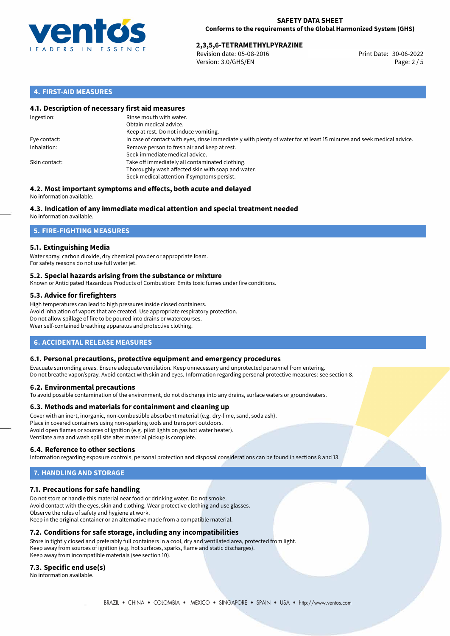

Revision date: 05-08-2016 Version: 3.0/GHS/EN Page: 2 / 5

# **4. FIRST-AID MEASURES**

## **4.1. Description of necessary first aid measures**

| Ingestion:    | Rinse mouth with water.<br>Obtain medical advice.<br>Keep at rest. Do not induce vomiting.                                                           |
|---------------|------------------------------------------------------------------------------------------------------------------------------------------------------|
| Eye contact:  | In case of contact with eyes, rinse immediately with plenty of water for at least 15 minutes and seek medical advice.                                |
| Inhalation:   | Remove person to fresh air and keep at rest.<br>Seek immediate medical advice.                                                                       |
| Skin contact: | Take off immediately all contaminated clothing.<br>Thoroughly wash affected skin with soap and water.<br>Seek medical attention if symptoms persist. |

#### **4.2. Most important symptoms and effects, both acute and delayed** No information available.

# **4.3. Indication of any immediate medical attention and special treatment needed**

No information available.

# **5. FIRE-FIGHTING MEASURES**

# **5.1. Extinguishing Media**

Water spray, carbon dioxide, dry chemical powder or appropriate foam. For safety reasons do not use full water jet.

### **5.2. Special hazards arising from the substance or mixture**

Known or Anticipated Hazardous Products of Combustion: Emits toxic fumes under fire conditions.

# **5.3. Advice for firefighters**

High temperatures can lead to high pressures inside closed containers. Avoid inhalation of vapors that are created. Use appropriate respiratory protection. Do not allow spillage of fire to be poured into drains or watercourses. Wear self-contained breathing apparatus and protective clothing.

# **6. ACCIDENTAL RELEASE MEASURES**

### **6.1. Personal precautions, protective equipment and emergency procedures**

Evacuate surronding areas. Ensure adequate ventilation. Keep unnecessary and unprotected personnel from entering. Do not breathe vapor/spray. Avoid contact with skin and eyes. Information regarding personal protective measures: see section 8.

### **6.2. Environmental precautions**

To avoid possible contamination of the environment, do not discharge into any drains, surface waters or groundwaters.

### **6.3. Methods and materials for containment and cleaning up**

Cover with an inert, inorganic, non-combustible absorbent material (e.g. dry-lime, sand, soda ash). Place in covered containers using non-sparking tools and transport outdoors. Avoid open flames or sources of ignition (e.g. pilot lights on gas hot water heater). Ventilate area and wash spill site after material pickup is complete.

### **6.4. Reference to other sections**

Information regarding exposure controls, personal protection and disposal considerations can be found in sections 8 and 13.

# **7. HANDLING AND STORAGE**

### **7.1. Precautions for safe handling**

Do not store or handle this material near food or drinking water. Do not smoke. Avoid contact with the eyes, skin and clothing. Wear protective clothing and use glasses. Observe the rules of safety and hygiene at work. Keep in the original container or an alternative made from a compatible material.

## **7.2. Conditions for safe storage, including any incompatibilities**

Store in tightly closed and preferably full containers in a cool, dry and ventilated area, protected from light. Keep away from sources of ignition (e.g. hot surfaces, sparks, flame and static discharges). Keep away from incompatible materials (see section 10).

### **7.3. Specific end use(s)**

No information available.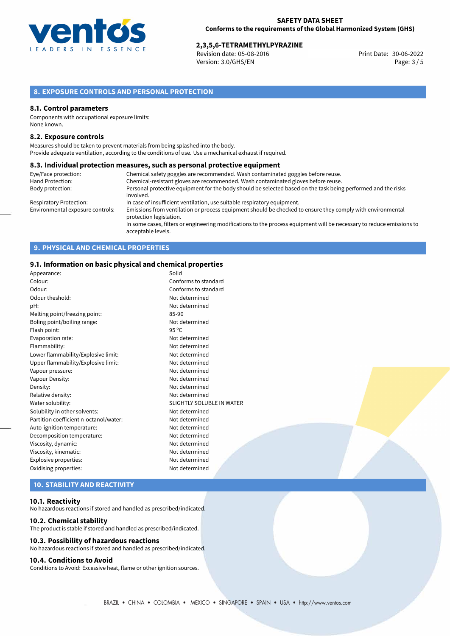

Revision date: 05-08-2016 Version: 3.0/GHS/EN Page: 3 / 5

# **8. EXPOSURE CONTROLS AND PERSONAL PROTECTION**

#### **8.1. Control parameters**

Components with occupational exposure limits: None known.

#### **8.2. Exposure controls**

Measures should be taken to prevent materials from being splashed into the body. Provide adequate ventilation, according to the conditions of use. Use a mechanical exhaust if required.

#### **8.3. Individual protection measures, such as personal protective equipment**

| Eye/Face protection:             | Chemical safety goggles are recommended. Wash contaminated goggles before reuse.                                                            |
|----------------------------------|---------------------------------------------------------------------------------------------------------------------------------------------|
| Hand Protection:                 | Chemical-resistant gloves are recommended. Wash contaminated gloves before reuse.                                                           |
| Body protection:                 | Personal protective equipment for the body should be selected based on the task being performed and the risks                               |
|                                  | involved.                                                                                                                                   |
| Respiratory Protection:          | In case of insufficient ventilation, use suitable respiratory equipment.                                                                    |
| Environmental exposure controls: | Emissions from ventilation or process equipment should be checked to ensure they comply with environmental<br>protection legislation.       |
|                                  | In some cases, filters or engineering modifications to the process equipment will be necessary to reduce emissions to<br>acceptable levels. |

# **9. PHYSICAL AND CHEMICAL PROPERTIES**

#### **9.1. Information on basic physical and chemical properties**

| Appearance:                            | Solid                     |
|----------------------------------------|---------------------------|
| Colour:                                | Conforms to standard      |
| Odour:                                 | Conforms to standard      |
| Odour theshold:                        | Not determined            |
| pH:                                    | Not determined            |
| Melting point/freezing point:          | 85-90                     |
| Boling point/boiling range:            | Not determined            |
| Flash point:                           | 95 °C                     |
| Evaporation rate:                      | Not determined            |
| Flammability:                          | Not determined            |
| Lower flammability/Explosive limit:    | Not determined            |
| Upper flammability/Explosive limit:    | Not determined            |
| Vapour pressure:                       | Not determined            |
| Vapour Density:                        | Not determined            |
| Density:                               | Not determined            |
| Relative density:                      | Not determined            |
| Water solubility:                      | SLIGHTLY SOLUBLE IN WATER |
| Solubility in other solvents:          | Not determined            |
| Partition coefficient n-octanol/water: | Not determined            |
| Auto-ignition temperature:             | Not determined            |
| Decomposition temperature:             | Not determined            |
| Viscosity, dynamic:                    | Not determined            |
| Viscosity, kinematic:                  | Not determined            |
| Explosive properties:                  | Not determined            |
| Oxidising properties:                  | Not determined            |
|                                        |                           |

# **10. STABILITY AND REACTIVITY**

#### **10.1. Reactivity**

No hazardous reactions if stored and handled as prescribed/indicated.

#### **10.2. Chemical stability**

The product is stable if stored and handled as prescribed/indicated.

# **10.3. Possibility of hazardous reactions**

No hazardous reactions if stored and handled as prescribed/indicated.

# **10.4. Conditions to Avoid**

Conditions to Avoid: Excessive heat, flame or other ignition sources.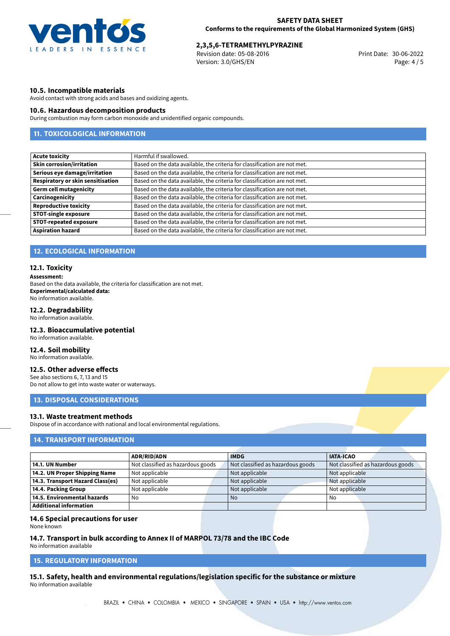

Revision date: 05-08-2016 Version: 3.0/GHS/EN Page: 4 / 5

# **10.5. Incompatible materials**

Avoid contact with strong acids and bases and oxidizing agents.

### **10.6. Hazardous decomposition products**

During combustion may form carbon monoxide and unidentified organic compounds.

# **11. TOXICOLOGICAL INFORMATION**

| <b>Acute toxicity</b>                    | Harmful if swallowed.                                                     |
|------------------------------------------|---------------------------------------------------------------------------|
| <b>Skin corrosion/irritation</b>         | Based on the data available, the criteria for classification are not met. |
| Serious eye damage/irritation            | Based on the data available, the criteria for classification are not met. |
| <b>Respiratory or skin sensitisation</b> | Based on the data available, the criteria for classification are not met. |
| <b>Germ cell mutagenicity</b>            | Based on the data available, the criteria for classification are not met. |
| Carcinogenicity                          | Based on the data available, the criteria for classification are not met. |
| <b>Reproductive toxicity</b>             | Based on the data available, the criteria for classification are not met. |
| <b>STOT-single exposure</b>              | Based on the data available, the criteria for classification are not met. |
| <b>STOT-repeated exposure</b>            | Based on the data available, the criteria for classification are not met. |
| <b>Aspiration hazard</b>                 | Based on the data available, the criteria for classification are not met. |

# **12. ECOLOGICAL INFORMATION**

#### **12.1. Toxicity**

#### **Assessment:**

Based on the data available, the criteria for classification are not met. **Experimental/calculated data:** No information available.

## **12.2. Degradability**

No information available.

# **12.3. Bioaccumulative potential**

No information available.

#### **12.4. Soil mobility**

No information available.

# **12.5. Other adverse effects**

See also sections 6, 7, 13 and 15 Do not allow to get into waste water or waterways.

## **13. DISPOSAL CONSIDERATIONS**

# **13.1. Waste treatment methods**

Dispose of in accordance with national and local environmental regulations.

# **14. TRANSPORT INFORMATION**

|                                  | <b>ADR/RID/ADN</b>                | <b>IMDG</b>                       | <b>IATA-ICAO</b>                  |
|----------------------------------|-----------------------------------|-----------------------------------|-----------------------------------|
| 14.1. UN Number                  | Not classified as hazardous goods | Not classified as hazardous goods | Not classified as hazardous goods |
| 14.2. UN Proper Shipping Name    | Not applicable                    | Not applicable                    | Not applicable                    |
| 14.3. Transport Hazard Class(es) | Not applicable                    | Not applicable                    | Not applicable                    |
| 14.4. Packing Group              | Not applicable                    | Not applicable                    | Not applicable                    |
| 14.5. Environmental hazards      | No                                | <b>No</b>                         | No                                |
| Additional information           |                                   |                                   |                                   |

#### **14.6 Special precautions for user**

None known

#### **14.7. Transport in bulk according to Annex II of MARPOL 73/78 and the IBC Code**

No information available

# **15. REGULATORY INFORMATION**

**15.1. Safety, health and environmental regulations/legislation specific for the substance or mixture** No information available